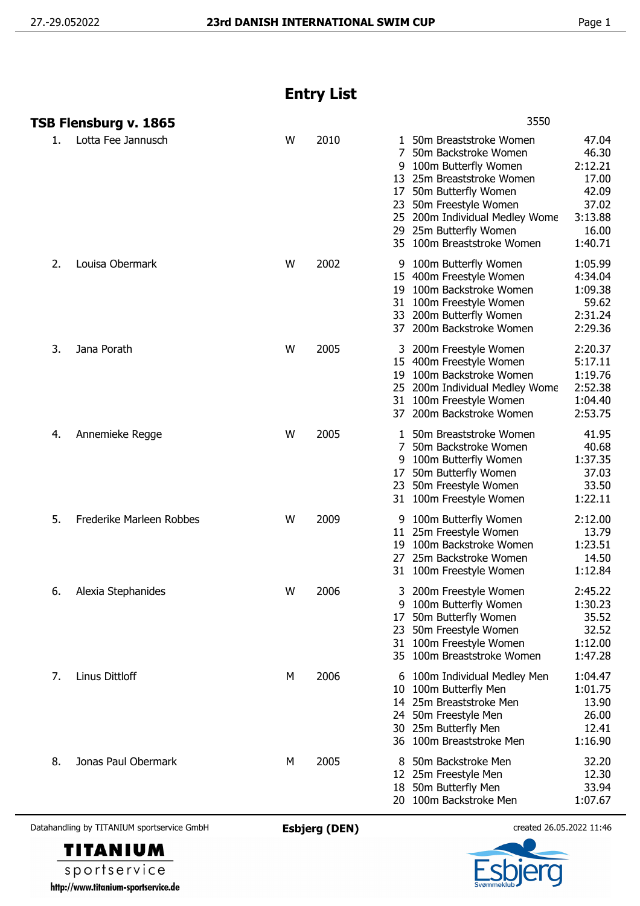## **Entry List**

|    | TSB Flensburg v. 1865    |   |      | 3550                                                                                                                                                                                                                                                                                                                                                                |
|----|--------------------------|---|------|---------------------------------------------------------------------------------------------------------------------------------------------------------------------------------------------------------------------------------------------------------------------------------------------------------------------------------------------------------------------|
| 1. | Lotta Fee Jannusch       | W | 2010 | 50m Breaststroke Women<br>47.04<br>1<br>46.30<br>7<br>50m Backstroke Women<br>100m Butterfly Women<br>2:12.21<br>9<br>17.00<br>25m Breaststroke Women<br>13<br>50m Butterfly Women<br>42.09<br>17<br>37.02<br>50m Freestyle Women<br>23<br>3:13.88<br>25 200m Individual Medley Wome<br>25m Butterfly Women<br>16.00<br>29<br>1:40.71<br>35 100m Breaststroke Women |
| 2. | Louisa Obermark          | W | 2002 | 1:05.99<br>100m Butterfly Women<br>9<br>4:34.04<br>15 400m Freestyle Women<br>1:09.38<br>100m Backstroke Women<br>19<br>59.62<br>100m Freestyle Women<br>31<br>2:31.24<br>200m Butterfly Women<br>33<br>2:29.36<br>37 200m Backstroke Women                                                                                                                         |
| 3. | Jana Porath              | W | 2005 | 2:20.37<br>3 200m Freestyle Women<br>5:17.11<br>15 400m Freestyle Women<br>1:19.76<br>100m Backstroke Women<br>19<br>2:52.38<br>25 200m Individual Medley Wome<br>1:04.40<br>31 100m Freestyle Women<br>2:53.75<br>37 200m Backstroke Women                                                                                                                         |
| 4. | Annemieke Regge          | W | 2005 | 41.95<br>50m Breaststroke Women<br>1<br>50m Backstroke Women<br>40.68<br>7<br>1:37.35<br>100m Butterfly Women<br>37.03<br>50m Butterfly Women<br>17<br>33.50<br>50m Freestyle Women<br>23<br>1:22.11<br>100m Freestyle Women<br>31                                                                                                                                  |
| 5. | Frederike Marleen Robbes | W | 2009 | 2:12.00<br>100m Butterfly Women<br>11 25m Freestyle Women<br>13.79<br>1:23.51<br>100m Backstroke Women<br>19<br>25m Backstroke Women<br>14.50<br>27<br>1:12.84<br>31 100m Freestyle Women                                                                                                                                                                           |
| 6. | Alexia Stephanides       | W | 2006 | 2:45.22<br>200m Freestyle Women<br>3<br>100m Butterfly Women<br>1:30.23<br>9<br>35.52<br>50m Butterfly Women<br>17<br>32.52<br>50m Freestyle Women<br>23<br>100m Freestyle Women<br>1:12.00<br>31<br>1:47.28<br>35 100m Breaststroke Women                                                                                                                          |
| 7. | Linus Dittloff           | М | 2006 | 1:04.47<br>100m Individual Medley Men<br>b<br>1:01.75<br>100m Butterfly Men<br>10<br>14 25m Breaststroke Men<br>13.90<br>24 50m Freestyle Men<br>26.00<br>12.41<br>30 25m Butterfly Men<br>36 100m Breaststroke Men<br>1:16.90                                                                                                                                      |
| 8. | Jonas Paul Obermark      | М | 2005 | 32.20<br>50m Backstroke Men<br>8<br>12.30<br>12 25m Freestyle Men<br>50m Butterfly Men<br>33.94<br>18<br>20 100m Backstroke Men<br>1:07.67                                                                                                                                                                                                                          |

Datahandling by TITANIUM sportservice GmbH **Esbjerg (DEN)** created 26.05.2022 11:46



sportservice http://www.titanium-sportservice.de

**TITANIUM**